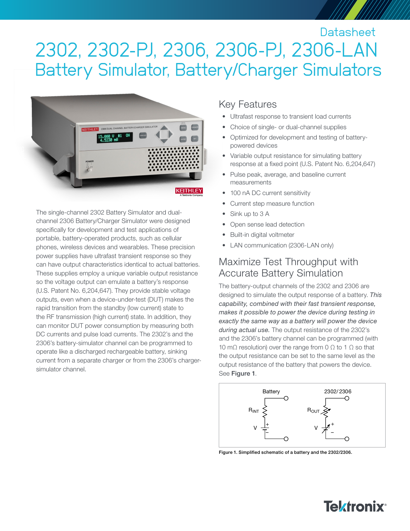# 2302, 2302-PJ, 2306, 2306-PJ, 2306-LAN Battery Simulator, Battery/Charger Simulators **Datasheet**



The single-channel 2302 Battery Simulator and dualchannel 2306 Battery/Charger Simulator were designed specifically for development and test applications of portable, battery-operated products, such as cellular phones, wireless devices and wearables. These precision power supplies have ultrafast transient response so they can have output characteristics identical to actual batteries. These supplies employ a unique variable output resistance so the voltage output can emulate a battery's response (U.S. Patent No. 6,204,647). They provide stable voltage outputs, even when a device-under-test (DUT) makes the rapid transition from the standby (low current) state to the RF transmission (high current) state. In addition, they can monitor DUT power consumption by measuring both DC currents and pulse load currents. The 2302's and the 2306's battery-simulator channel can be programmed to operate like a discharged rechargeable battery, sinking current from a separate charger or from the 2306's chargersimulator channel.

### Key Features

- Ultrafast response to transient load currents
- Choice of single- or dual-channel supplies
- Optimized for development and testing of batterypowered devices
- Variable output resistance for simulating battery response at a fixed point (U.S. Patent No. 6,204,647)
- Pulse peak, average, and baseline current measurements
- 100 nA DC current sensitivity
- Current step measure function
- Sink up to 3 A
- Open sense lead detection
- Built-in digital voltmeter
- LAN communication (2306-LAN only)

### Maximize Test Throughput with Accurate Battery Simulation

The battery-output channels of the 2302 and 2306 are designed to simulate the output response of a battery. *This capability, combined with their fast transient response, makes it possible to power the device during testing in exactly the same way as a battery will power the device during actual use.* The output resistance of the 2302's and the 2306's battery channel can be programmed (with 10 mΩ resolution) over the range from 0 Ω to 1 Ω so that the output resistance can be set to the same level as the output resistance of the battery that powers the device. See Figure 1.



Figure 1. Simplified schematic of a battery and the 2302/2306.

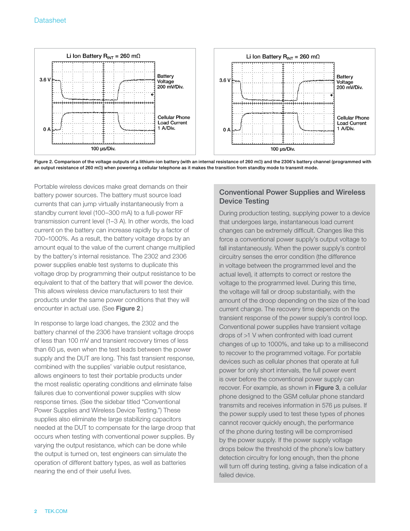

Figure 2. Comparison of the voltage outputs of a lithium-ion battery (with an internal resistance of 260 mΩ) and the 2306's battery channel (programmed with an output resistance of 260 mΩ) when powering a cellular telephone as it makes the transition from standby mode to transmit mode.

Portable wireless devices make great demands on their battery power sources. The battery must source load currents that can jump virtually instantaneously from a standby current level (100–300 mA) to a full-power RF transmission current level (1–3 A). In other words, the load current on the battery can increase rapidly by a factor of 700–1000%. As a result, the battery voltage drops by an amount equal to the value of the current change multiplied by the battery's internal resistance. The 2302 and 2306 power supplies enable test systems to duplicate this voltage drop by programming their output resistance to be equivalent to that of the battery that will power the device. This allows wireless device manufacturers to test their products under the same power conditions that they will encounter in actual use. (See Figure 2.)

In response to large load changes, the 2302 and the battery channel of the 2306 have transient voltage droops of less than 100 mV and transient recovery times of less than 60 µs, even when the test leads between the power supply and the DUT are long. This fast transient response, combined with the supplies' variable output resistance, allows engineers to test their portable products under the most realistic operating conditions and eliminate false failures due to conventional power supplies with slow response times. (See the sidebar titled "Conventional Power Supplies and Wireless Device Testing.") These supplies also eliminate the large stabilizing capacitors needed at the DUT to compensate for the large droop that occurs when testing with conventional power supplies. By varying the output resistance, which can be done while the output is turned on, test engineers can simulate the operation of different battery types, as well as batteries nearing the end of their useful lives.

#### Conventional Power Supplies and Wireless Device Testing

During production testing, supplying power to a device that undergoes large, instantaneous load current changes can be extremely difficult. Changes like this force a conventional power supply's output voltage to fall instantaneously. When the power supply's control circuitry senses the error condition (the difference in voltage between the programmed level and the actual level), it attempts to correct or restore the voltage to the programmed level. During this time, the voltage will fall or droop substantially, with the amount of the droop depending on the size of the load current change. The recovery time depends on the transient response of the power supply's control loop. Conventional power supplies have transient voltage drops of >1 V when confronted with load current changes of up to 1000%, and take up to a millisecond to recover to the programmed voltage. For portable devices such as cellular phones that operate at full power for only short intervals, the full power event is over before the conventional power supply can recover. For example, as shown in Figure 3, a cellular phone designed to the GSM cellular phone standard transmits and receives information in 576 µs pulses. If the power supply used to test these types of phones cannot recover quickly enough, the performance of the phone during testing will be compromised by the power supply. If the power supply voltage drops below the threshold of the phone's low battery detection circuitry for long enough, then the phone will turn off during testing, giving a false indication of a failed device.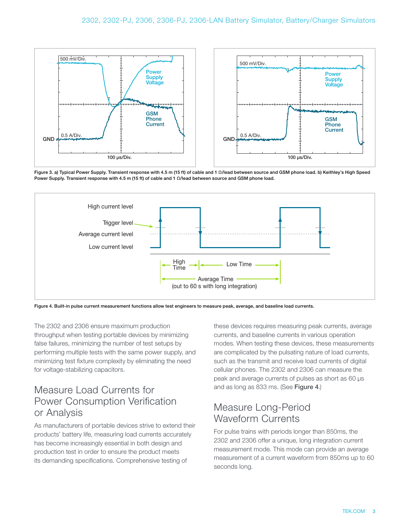

Figure 3. a) Typical Power Supply. Transient response with 4.5 m (15 ft) of cable and 1 Ω/lead between source and GSM phone load. b) Keithley's High Speed Power Supply. Transient response with 4.5 m (15 ft) of cable and 1 Ω/lead between source and GSM phone load.



Figure 4. Built-in pulse current measurement functions allow test engineers to measure peak, average, and baseline load currents.

The 2302 and 2306 ensure maximum production throughput when testing portable devices by minimizing false failures, minimizing the number of test setups by performing multiple tests with the same power supply, and minimizing test fixture complexity by eliminating the need for voltage-stabilizing capacitors.

### Measure Load Currents for Power Consumption Verification or Analysis

As manufacturers of portable devices strive to extend their products' battery life, measuring load currents accurately has become increasingly essential in both design and production test in order to ensure the product meets its demanding specifications. Comprehensive testing of

these devices requires measuring peak currents, average currents, and baseline currents in various operation modes. When testing these devices, these measurements are complicated by the pulsating nature of load currents, such as the transmit and receive load currents of digital cellular phones. The 2302 and 2306 can measure the peak and average currents of pulses as short as 60 µs and as long as 833 ms. (See Figure 4.)

### Measure Long-Period Waveform Currents

For pulse trains with periods longer than 850ms, the 2302 and 2306 offer a unique, long integration current measurement mode. This mode can provide an average measurement of a current waveform from 850ms up to 60 seconds long.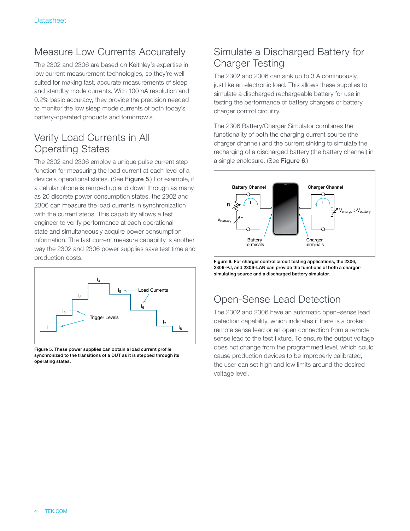### Measure Low Currents Accurately

The 2302 and 2306 are based on Keithley's expertise in low current measurement technologies, so they're wellsuited for making fast, accurate measurements of sleep and standby mode currents. With 100 nA resolution and 0.2% basic accuracy, they provide the precision needed to monitor the low sleep mode currents of both today's battery-operated products and tomorrow's.

### Verify Load Currents in All Operating States

The 2302 and 2306 employ a unique pulse current step function for measuring the load current at each level of a device's operational states. (See Figure 5.) For example, if a cellular phone is ramped up and down through as many as 20 discrete power consumption states, the 2302 and 2306 can measure the load currents in synchronization with the current steps. This capability allows a test engineer to verify performance at each operational state and simultaneously acquire power consumption information. The fast current measure capability is another way the 2302 and 2306 power supplies save test time and production costs.



Figure 5. These power supplies can obtain a load current profile synchronized to the transitions of a DUT as it is stepped through its operating states.

### Simulate a Discharged Battery for Charger Testing

The 2302 and 2306 can sink up to 3 A continuously, just like an electronic load. This allows these supplies to simulate a discharged rechargeable battery for use in testing the performance of battery chargers or battery charger control circuitry.

The 2306 Battery/Charger Simulator combines the functionality of both the charging current source (the charger channel) and the current sinking to simulate the recharging of a discharged battery (the battery channel) in a single enclosure. (See Figure 6.)



Figure 6. For charger control circuit testing applications, the 2306, 2306-PJ, and 2306-LAN can provide the functions of both a chargersimulating source and a discharged battery simulator.

# Open-Sense Lead Detection

The 2302 and 2306 have an automatic open–sense lead detection capability, which indicates if there is a broken remote sense lead or an open connection from a remote sense lead to the test fixture. To ensure the output voltage does not change from the programmed level, which could cause production devices to be improperly calibrated, the user can set high and low limits around the desired voltage level.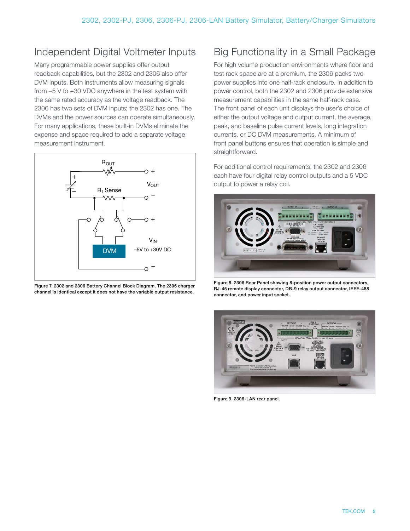# Independent Digital Voltmeter Inputs

Many programmable power supplies offer output readback capabilities, but the 2302 and 2306 also offer DVM inputs. Both instruments allow measuring signals from –5 V to +30 VDC anywhere in the test system with the same rated accuracy as the voltage readback. The 2306 has two sets of DVM inputs; the 2302 has one. The DVMs and the power sources can operate simultaneously. For many applications, these built-in DVMs eliminate the expense and space required to add a separate voltage measurement instrument.



Figure 7. 2302 and 2306 Battery Channel Block Diagram. The 2306 charger channel is identical except it does not have the variable output resistance.

# Big Functionality in a Small Package

For high volume production environments where floor and test rack space are at a premium, the 2306 packs two power supplies into one half-rack enclosure. In addition to power control, both the 2302 and 2306 provide extensive measurement capabilities in the same half-rack case. The front panel of each unit displays the user's choice of either the output voltage and output current, the average, peak, and baseline pulse current levels, long integration currents, or DC DVM measurements. A minimum of front panel buttons ensures that operation is simple and straightforward.

For additional control requirements, the 2302 and 2306 each have four digital relay control outputs and a 5 VDC output to power a relay coil.



Figure 8. 2306 Rear Panel showing 8-position power output connectors, RJ-45 remote display connector, DB-9 relay output connector, IEEE-488 connector, and power input socket.



Figure 9. 2306-LAN rear panel.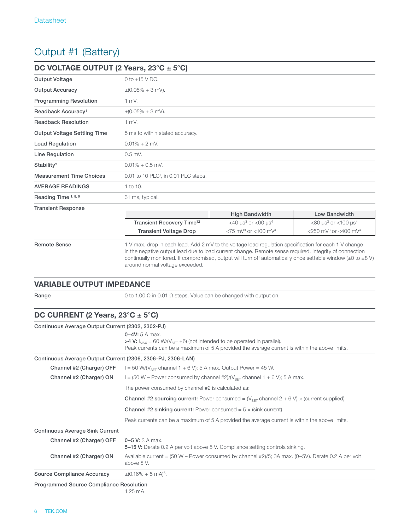# Output #1 (Battery)

| DC VOLTAGE OUTPUT (2 Years, $23^{\circ}$ C ± 5°C) |                                                                                                                                                                                                                                                                                                                                           |                                                   |                                                   |
|---------------------------------------------------|-------------------------------------------------------------------------------------------------------------------------------------------------------------------------------------------------------------------------------------------------------------------------------------------------------------------------------------------|---------------------------------------------------|---------------------------------------------------|
| <b>Output Voltage</b>                             | 0 to $+15$ V DC.                                                                                                                                                                                                                                                                                                                          |                                                   |                                                   |
| <b>Output Accuracy</b>                            | $\pm (0.05\% + 3$ mV).                                                                                                                                                                                                                                                                                                                    |                                                   |                                                   |
| <b>Programming Resolution</b>                     | $1$ mV.                                                                                                                                                                                                                                                                                                                                   |                                                   |                                                   |
| Readback Accuracy <sup>1</sup>                    | $\pm (0.05\% + 3$ mV).                                                                                                                                                                                                                                                                                                                    |                                                   |                                                   |
| <b>Readback Resolution</b>                        | $1$ mV.                                                                                                                                                                                                                                                                                                                                   |                                                   |                                                   |
| <b>Output Voltage Settling Time</b>               | 5 ms to within stated accuracy.                                                                                                                                                                                                                                                                                                           |                                                   |                                                   |
| <b>Load Regulation</b>                            | $0.01\% + 2$ mV.                                                                                                                                                                                                                                                                                                                          |                                                   |                                                   |
| <b>Line Regulation</b>                            | $0.5$ mV.                                                                                                                                                                                                                                                                                                                                 |                                                   |                                                   |
| Stability <sup>2</sup>                            | $0.01\% + 0.5$ mV.                                                                                                                                                                                                                                                                                                                        |                                                   |                                                   |
| <b>Measurement Time Choices</b>                   | 0.01 to 10 PLC <sup>7</sup> , in 0.01 PLC steps.                                                                                                                                                                                                                                                                                          |                                                   |                                                   |
| <b>AVERAGE READINGS</b>                           | 1 to 10.                                                                                                                                                                                                                                                                                                                                  |                                                   |                                                   |
| Reading Time 1, 8, 9                              | 31 ms, typical.                                                                                                                                                                                                                                                                                                                           |                                                   |                                                   |
| <b>Transient Response</b>                         |                                                                                                                                                                                                                                                                                                                                           |                                                   |                                                   |
|                                                   |                                                                                                                                                                                                                                                                                                                                           | <b>High Bandwidth</b>                             | Low Bandwidth                                     |
|                                                   | Transient Recovery Time <sup>12</sup>                                                                                                                                                                                                                                                                                                     | $<$ 40 us <sup>3</sup> or $<$ 60 us <sup>4</sup>  | $<$ 80 us <sup>3</sup> or $<$ 100 us <sup>4</sup> |
|                                                   | <b>Transient Voltage Drop</b>                                                                                                                                                                                                                                                                                                             | $<$ 75 mV <sup>3</sup> or $<$ 100 mV <sup>4</sup> | <250 mV <sup>3</sup> or <400 mV <sup>4</sup>      |
| <b>Remote Sense</b>                               | 1 V max, drop in each lead. Add 2 mV to the voltage load regulation specification for each 1 V change<br>in the negative output lead due to load current change. Remote sense required. Integrity of connection<br>continually monitored. If compromised, output will turn off automatically once settable window ( $\pm$ 0 to $\pm$ 8 V) |                                                   |                                                   |

VARIABLE OUTPUT IMPEDANCE

**Range** 0 to 1.00  $\Omega$  in 0.01  $\Omega$  steps. Value can be changed with output on.

around normal voltage exceeded.

#### DC CURRENT (2 Years, 23°C ± 5°C)

| Continuous Average Output Current (2302, 2302-PJ)           |                                                                                                                                                                                                                  |  |
|-------------------------------------------------------------|------------------------------------------------------------------------------------------------------------------------------------------------------------------------------------------------------------------|--|
|                                                             | $0 - 4V$ : 5 A max.<br>>4 V: $I_{MAX}$ = 60 W/(V <sub>SET</sub> +6) (not intended to be operated in parallel).<br>Peak currents can be a maximum of 5 A provided the average current is within the above limits. |  |
| Continuous Average Output Current (2306, 2306-PJ, 2306-LAN) |                                                                                                                                                                                                                  |  |
| Channel #2 (Charger) OFF                                    | $I = 50$ W/(V <sub>SFT</sub> channel 1 + 6 V); 5 A max. Output Power = 45 W.                                                                                                                                     |  |
| Channel #2 (Charger) ON                                     | $I = (50 W - Power consumed by channel #2)/(V_{SET} channel 1 + 6 V); 5 A max.$                                                                                                                                  |  |
|                                                             | The power consumed by channel #2 is calculated as:                                                                                                                                                               |  |
|                                                             | <b>Channel #2 sourcing current:</b> Power consumed = $(V_{\text{SFT}}$ channel 2 + 6 V) × (current supplied)                                                                                                     |  |
|                                                             | <b>Channel #2 sinking current:</b> Power consumed $= 5 \times$ (sink current)                                                                                                                                    |  |
|                                                             | Peak currents can be a maximum of 5 A provided the average current is within the above limits.                                                                                                                   |  |
| <b>Continuous Average Sink Current</b>                      |                                                                                                                                                                                                                  |  |
| Channel #2 (Charger) OFF                                    | $0 - 5$ V: 3 A max.<br><b>5–15 V:</b> Derate 0.2 A per volt above 5 V. Compliance setting controls sinking.                                                                                                      |  |
| Channel #2 (Charger) ON                                     | Available current = (50 W – Power consumed by channel #2)/5; 3A max. (0–5V). Derate 0.2 A per volt<br>above 5 V.                                                                                                 |  |
| Source Compliance Accuracy                                  | $\pm (0.16\% + 5 \text{ mA})^5$ .                                                                                                                                                                                |  |

Programmed Source Compliance Resolution

1.25 mA.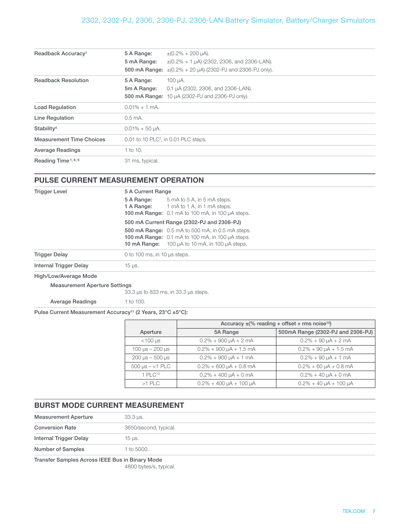| Readback Accuracy <sup>1</sup>  | 5 A Range:<br>5 mA Range:                        | $\pm (0.2\% + 200 \,\mu A).$<br>$\pm (0.2\% + 1 \,\mu A)$ (2302, 2306, and 2306-LAN).<br>500 mA Range: $\pm (0.2\% + 20 \,\mu\text{A})$ (2302-PJ and 2306-PJ only). |
|---------------------------------|--------------------------------------------------|---------------------------------------------------------------------------------------------------------------------------------------------------------------------|
| <b>Readback Resolution</b>      | 5 A Range:<br>5m A Range:                        | 100 µA.<br>0.1 µA (2302, 2306, and 2306-LAN).<br>500 mA Range: 10 µA (2302-PJ and 2306-PJ only).                                                                    |
| <b>Load Regulation</b>          | $0.01\% + 1$ mA.                                 |                                                                                                                                                                     |
| <b>Line Regulation</b>          | $0.5 \text{ mA}$ .                               |                                                                                                                                                                     |
| Stability <sup>4</sup>          | $0.01\% + 50 \mu A$ .                            |                                                                                                                                                                     |
| <b>Measurement Time Choices</b> | 0.01 to 10 PLC <sup>7</sup> , in 0.01 PLC steps. |                                                                                                                                                                     |
| <b>Average Readings</b>         | 1 to 10.                                         |                                                                                                                                                                     |
| Reading Time <sup>1, 8, 9</sup> | 31 ms, typical.                                  |                                                                                                                                                                     |

#### PULSE CURRENT MEASUREMENT OPERATION

| <b>Trigger Level</b>   | 5 A Current Range                                                                                                                                                            |  |  |
|------------------------|------------------------------------------------------------------------------------------------------------------------------------------------------------------------------|--|--|
|                        | 5 A Range:<br>5 mA to 5 A, in 5 mA steps.<br>1 mA to 1 A, in 1 mA steps.<br>1 A Range:<br>100 mA Range: 0.1 mA to 100 mA, in 100 µA steps.                                   |  |  |
|                        | 500 mA Current Range (2302-PJ and 2306-PJ)                                                                                                                                   |  |  |
|                        | <b>500 mA Range:</b> 0.5 mA to 500 mA, in 0.5 mA steps.<br>100 mA Range: 0.1 mA to 100 mA, in 100 µA steps.<br>10 $mA$ Range: 100 $\mu$ A to 10 $mA$ , in 100 $\mu$ A steps. |  |  |
| <b>Trigger Delay</b>   | 0 to 100 ms, in 10 $\mu$ s steps.                                                                                                                                            |  |  |
| Internal Trigger Delay | $15 \mu s$ .                                                                                                                                                                 |  |  |

High/Low/Average Mode

Measurement Aperture Settings

33.3 µs to 833 ms, in 33.3 µs steps.

Average Readings 1 to 100.

Pulse Current Measurement Accuracy<sup>11</sup> (2 Years, 23°C ±5°C):

|                                                           | Accuracy $\pm$ (% reading + offset + rms noise <sup>10</sup> ) |                                     |
|-----------------------------------------------------------|----------------------------------------------------------------|-------------------------------------|
| Aperture                                                  | 5A Range                                                       | 500mA Range (2302-PJ and 2306-PJ)   |
| $<$ 100 µs                                                | $0.2\% + 900 \mu A + 2 mA$                                     | $0.2\% + 90 \mu A + 2 \mu A$        |
| 100 $\mu$ s – 200 $\mu$ s                                 | $0.2\% + 900 \mu A + 1.5 \text{ mA}$                           | $0.2\% + 90 \mu A + 1.5 \text{ mA}$ |
| $200 \,\mathrm{\mu s} - 500 \,\mathrm{\mu s}$             | $0.2\% + 900 \mu A + 1 mA$                                     | $0.2\% + 90 \mu A + 1 \text{ mA}$   |
| $500 \text{ }\mu\text{s} - \text{}<1 \text{ } \text{PLC}$ | $0.2\% + 600 \mu A + 0.8 \mu A$                                | $0.2\% + 60 \mu A + 0.8 \text{ mA}$ |
| 1 PLC <sup>12</sup>                                       | $0.2\% + 400 \mu A + 0 \mu A$                                  | $0.2\% + 40 \mu A + 0$ mA           |
| $>1$ PLC                                                  | $0.2\% + 400 \mu A + 100 \mu A$                                | $0.2\% + 40 \mu A + 100 \mu A$      |

#### BURST MODE CURRENT MEASUREMENT

Transfer Samples Across IEEE Bus in Binary Mode

4800 bytes/s, typical.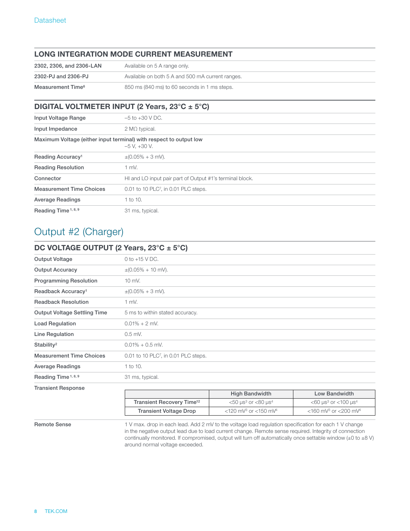#### LONG INTEGRATION MODE CURRENT MEASUREMENT

| 2302, 2306, and 2306-LAN      | Available on 5 A range only.                     |
|-------------------------------|--------------------------------------------------|
| 2302-PJ and 2306-PJ           | Available on both 5 A and 500 mA current ranges. |
| Measurement Time <sup>6</sup> | 850 ms (840 ms) to 60 seconds in 1 ms steps.     |

#### DIGITAL VOLTMETER INPUT (2 Years, 23°C ± 5°C)

| Input Voltage Range             | $-5$ to $+30$ V DC.                                                                    |
|---------------------------------|----------------------------------------------------------------------------------------|
| Input Impedance                 | $2 M\Omega$ typical.                                                                   |
|                                 | Maximum Voltage (either input terminal) with respect to output low<br>$-5$ V. $+30$ V. |
| Reading Accuracy <sup>1</sup>   | $\pm (0.05\% + 3$ mV).                                                                 |
| <b>Reading Resolution</b>       | $1$ mV.                                                                                |
| Connector                       | HI and LO input pair part of Output #1's terminal block.                               |
| <b>Measurement Time Choices</b> | 0.01 to 10 PLC <sup>7</sup> , in 0.01 PLC steps.                                       |
| <b>Average Readings</b>         | 1 to 10.                                                                               |
| Reading Time <sup>1, 8, 9</sup> | 31 ms, typical.                                                                        |

### Output #2 (Charger)

| DC VOLTAGE OUTPUT (2 Years, $23^{\circ}$ C ± 5°C) |                                                  |  |
|---------------------------------------------------|--------------------------------------------------|--|
| Output Voltage                                    | 0 to $+15$ V DC.                                 |  |
| <b>Output Accuracy</b>                            | $\pm (0.05\% + 10 \text{ mV}).$                  |  |
| <b>Programming Resolution</b>                     | $10$ mV.                                         |  |
| Readback Accuracy <sup>1</sup>                    | $\pm (0.05\% + 3 \text{ mV}).$                   |  |
| <b>Readback Resolution</b>                        | $1$ mV.                                          |  |
| <b>Output Voltage Settling Time</b>               | 5 ms to within stated accuracy.                  |  |
| <b>Load Regulation</b>                            | $0.01\% + 2$ mV.                                 |  |
| Line Regulation                                   | $0.5$ mV.                                        |  |
| Stability <sup>2</sup>                            | $0.01\% + 0.5$ mV.                               |  |
| <b>Measurement Time Choices</b>                   | 0.01 to 10 PLC <sup>7</sup> , in 0.01 PLC steps. |  |
| <b>Average Readings</b>                           | 1 to 10.                                         |  |
| Reading Time <sup>1, 8, 9</sup>                   | 31 ms, typical.                                  |  |
| <b>Transient Response</b>                         |                                                  |  |

|                                       | <b>High Bandwidth</b>                              | Low Bandwidth                                               |
|---------------------------------------|----------------------------------------------------|-------------------------------------------------------------|
| Transient Recovery Time <sup>12</sup> | $<$ 50 us <sup>3</sup> or $<$ 80 us <sup>4</sup>   | $<$ 60 $\mu$ s <sup>3</sup> or $<$ 100 $\mu$ s <sup>4</sup> |
| <b>Transient Voltage Drop</b>         | $<$ 120 mV <sup>3</sup> or $<$ 150 mV <sup>4</sup> | $<$ 160 mV <sup>3</sup> or $<$ 200 mV <sup>4</sup>          |

Remote Sense 1 V max. drop in each lead. Add 2 mV to the voltage load regulation specification for each 1 V change in the negative output lead due to load current change. Remote sense required. Integrity of connection continually monitored. If compromised, output will turn off automatically once settable window (±0 to ±8 V) around normal voltage exceeded.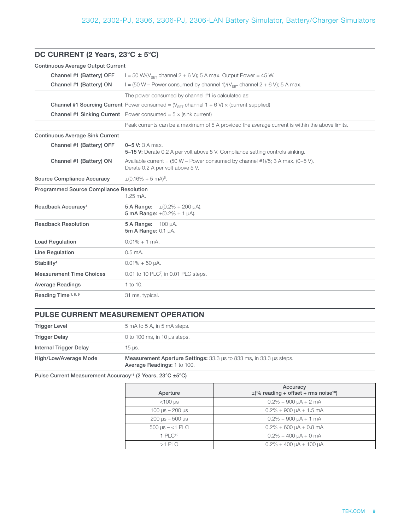| DC CURRENT (2 Years, $23^{\circ}$ C ± 5°C)     |                                                                                                                          |  |
|------------------------------------------------|--------------------------------------------------------------------------------------------------------------------------|--|
| <b>Continuous Average Output Current</b>       |                                                                                                                          |  |
| Channel #1 (Battery) OFF                       | $I = 50$ W/(V <sub>SFT</sub> channel 2 + 6 V); 5 A max. Output Power = 45 W.                                             |  |
| Channel #1 (Battery) ON                        | $I = (50 W - Power consumed by channel 1)/(V_{\text{SFT}} channel 2 + 6 V); 5 A max.$                                    |  |
|                                                | The power consumed by channel #1 is calculated as:                                                                       |  |
|                                                | <b>Channel #1 Sourcing Current</b> Power consumed = $(V_{\text{SFT}}$ channel 1 + 6 V) × (current supplied)              |  |
|                                                | <b>Channel #1 Sinking Current</b> Power consumed = $5 \times$ (sink current)                                             |  |
|                                                | Peak currents can be a maximum of 5 A provided the average current is within the above limits.                           |  |
| <b>Continuous Average Sink Current</b>         |                                                                                                                          |  |
| Channel #1 (Battery) OFF                       | $0 - 5$ V: 3 A max.<br>5-15 V: Derate 0.2 A per volt above 5 V. Compliance setting controls sinking.                     |  |
| Channel #1 (Battery) ON                        | Available current = $(50 W - Power consumed by channel #1)/5$ ; 3 A max. $(0-5 V)$ .<br>Derate 0.2 A per volt above 5 V. |  |
| <b>Source Compliance Accuracy</b>              | $\pm (0.16\% + 5 \text{ mA})^5$ .                                                                                        |  |
| <b>Programmed Source Compliance Resolution</b> | $1.25 \text{ mA}$ .                                                                                                      |  |
| Readback Accuracy <sup>1</sup>                 | 5 A Range: $\pm (0.2\% + 200 \,\mu\text{A}).$<br>5 mA Range: $\pm (0.2\% + 1 \mu A)$ .                                   |  |
| <b>Readback Resolution</b>                     | 5 A Range: 100 µA.<br>5m A Range: 0.1 µA.                                                                                |  |
| <b>Load Regulation</b>                         | $0.01\% + 1$ mA.                                                                                                         |  |
| <b>Line Regulation</b>                         | $0.5$ mA.                                                                                                                |  |
| Stability <sup>4</sup>                         | $0.01\% + 50 \mu A$ .                                                                                                    |  |
| <b>Measurement Time Choices</b>                | 0.01 to 10 PLC7, in 0.01 PLC steps.                                                                                      |  |
| <b>Average Readings</b>                        | 1 to 10.                                                                                                                 |  |
| Reading Time <sup>1, 8, 9</sup>                | 31 ms, typical.                                                                                                          |  |

### PULSE CURRENT MEASUREMENT OPERATION

| High/Low/Average Mode  | <b>Measurement Aperture Settings:</b> 33.3 µs to 833 ms, in 33.3 µs steps.<br>Average Readings: 1 to 100. |
|------------------------|-----------------------------------------------------------------------------------------------------------|
| Internal Trigger Delay | 15 µs.                                                                                                    |
| <b>Trigger Delay</b>   | 0 to 100 ms, in 10 $\mu$ s steps.                                                                         |
| <b>Trigger Level</b>   | 5 mA to 5 A, in 5 mA steps.                                                                               |

Pulse Current Measurement Accuracy<sup>11</sup> (2 Years, 23°C ±5°C)

| Aperture                                            | Accuracy<br>$\pm$ (% reading + offset + rms noise <sup>10</sup> ) |
|-----------------------------------------------------|-------------------------------------------------------------------|
| $<$ 100 µs                                          | $0.2\% + 900 \mu A + 2 \mu A$                                     |
| 100 $\mu$ s – 200 $\mu$ s                           | $0.2\% + 900 \mu A + 1.5 \text{ mA}$                              |
| $200 \text{ }\mu\text{s} - 500 \text{ }\mu\text{s}$ | $0.2\% + 900 \mu A + 1 \mu A$                                     |
| 500 $\mu$ s – <1 PLC                                | $0.2\% + 600 \mu A + 0.8 \mu A$                                   |
| 1 PI C <sup>12</sup>                                | $0.2\% + 400 \mu A + 0 \mu A$                                     |
| $>1$ PLC                                            | $0.2\% + 400 \mu A + 100 \mu A$                                   |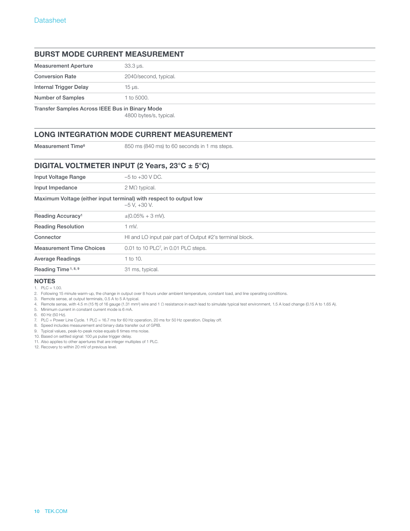#### BURST MODE CURRENT MEASUREMENT

| <b>Measurement Aperture</b>                     | $33.3 \,\mu s$ .      |
|-------------------------------------------------|-----------------------|
| <b>Conversion Rate</b>                          | 2040/second, typical. |
| <b>Internal Trigger Delay</b>                   | $15 \mu s$ .          |
| <b>Number of Samples</b>                        | 1 to 5000.            |
| Transfer Samples Across IEEE Bus in Binary Mode |                       |

4800 bytes/s, typical.

#### LONG INTEGRATION MODE CURRENT MEASUREMENT

Measurement Time<sup>6</sup> 850 ms (840 ms) to 60 seconds in 1 ms steps.

#### DIGITAL VOLTMETER INPUT (2 Years, 23°C ± 5°C)

| Input Voltage Range                                                | $-5$ to $+30$ V DC.                                      |
|--------------------------------------------------------------------|----------------------------------------------------------|
| Input Impedance                                                    | $2 M\Omega$ typical.                                     |
| Maximum Voltage (either input terminal) with respect to output low | $-5$ V. $+30$ V.                                         |
| Reading Accuracy <sup>1</sup>                                      | $\pm (0.05\% + 3$ mV).                                   |
| <b>Reading Resolution</b>                                          | $1$ mV.                                                  |
| Connector                                                          | HI and LO input pair part of Output #2's terminal block. |
| <b>Measurement Time Choices</b>                                    | 0.01 to 10 PLC <sup>7</sup> , in 0.01 PLC steps.         |
| <b>Average Readings</b>                                            | 1 to 10.                                                 |
| Reading Time <sup>1, 8, 9</sup>                                    | 31 ms, typical.                                          |

#### **NOTES**

1. PLC = 1.00.

2. Following 15 minute warm-up, the change in output over 8 hours under ambient temperature, constant load, and line operating conditions.

3. Remote sense, at output terminals, 0.5 A to 5 A typical.

4. Remote sense, with 4.5 m (15 ft) of 16 gauge (1.31 mm2) wire and 1 Ω resistance in each lead to simulate typical test environment, 1.5 A load change (0.15 A to 1.65 A).

5. Minimum current in constant current mode is 6 mA.

6. 60 Hz (50 Hz).

7. PLC = Power Line Cycle. 1 PLC = 16.7 ms for 60 Hz operation, 20 ms for 50 Hz operation. Display off.

8. Speed includes measurement and binary data transfer out of GPIB.

9. Typical values, peak-to-peak noise equals 6 times rms noise.

10. Based on settled signal: 100 µs pulse trigger delay.

11. Also applies to other apertures that are integer multiples of 1 PLC.

12. Recovery to within 20 mV of previous level.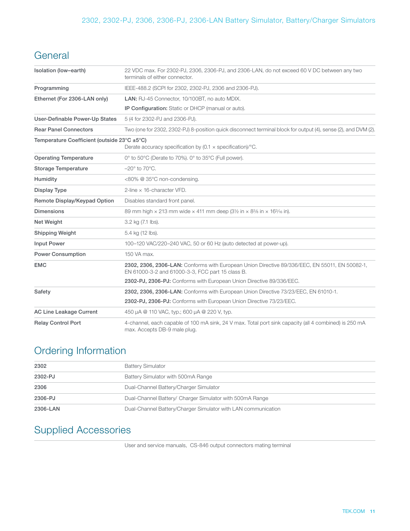# **General**

| Isolation (low-earth)                       | 22 VDC max. For 2302-PJ, 2306, 2306-PJ, and 2306-LAN, do not exceed 60 VDC between any two<br>terminals of either connector.                       |
|---------------------------------------------|----------------------------------------------------------------------------------------------------------------------------------------------------|
| Programming                                 | IEEE-488.2 (SCPI for 2302, 2302-PJ, 2306 and 2306-PJ).                                                                                             |
| Ethernet (For 2306-LAN only)                | LAN: RJ-45 Connector, 10/100BT, no auto MDIX.                                                                                                      |
|                                             | IP Configuration: Static or DHCP (manual or auto).                                                                                                 |
| User-Definable Power-Up States              | 5 (4 for 2302-PJ and 2306-PJ).                                                                                                                     |
| <b>Rear Panel Connectors</b>                | Two (one for 2302, 2302-PJ) 8-position quick disconnect terminal block for output (4), sense (2), and DVM (2).                                     |
| Temperature Coefficient (outside 23°C ±5°C) | Derate accuracy specification by $(0.1 \times \text{specification})/^{\circ}\text{C}$ .                                                            |
| <b>Operating Temperature</b>                | 0° to 50°C (Derate to 70%). 0° to 35°C (Full power).                                                                                               |
| <b>Storage Temperature</b>                  | $-20^\circ$ to 70 $^\circ$ C.                                                                                                                      |
| Humidity                                    | <80% @ 35°C non-condensing.                                                                                                                        |
| Display Type                                | 2-line $\times$ 16-character VFD.                                                                                                                  |
| Remote Display/Keypad Option                | Disables standard front panel.                                                                                                                     |
| <b>Dimensions</b>                           | 89 mm high $\times$ 213 mm wide $\times$ 411 mm deep (31/2 in $\times$ 83/8 in $\times$ 163/16 in).                                                |
| Net Weight                                  | 3.2 kg (7.1 lbs).                                                                                                                                  |
| <b>Shipping Weight</b>                      | 5.4 kg (12 lbs).                                                                                                                                   |
| <b>Input Power</b>                          | 100-120 VAC/220-240 VAC, 50 or 60 Hz (auto detected at power-up).                                                                                  |
| <b>Power Consumption</b>                    | 150 VA max.                                                                                                                                        |
| <b>EMC</b>                                  | 2302, 2306, 2306-LAN: Conforms with European Union Directive 89/336/EEC, EN 55011, EN 50082-1,<br>EN 61000-3-2 and 61000-3-3, FCC part 15 class B. |
|                                             | 2302-PJ, 2306-PJ: Conforms with European Union Directive 89/336/EEC.                                                                               |
| Safety                                      | 2302, 2306, 2306-LAN: Conforms with European Union Directive 73/23/EEC, EN 61010-1.                                                                |
|                                             | 2302-PJ, 2306-PJ: Conforms with European Union Directive 73/23/EEC.                                                                                |
| <b>AC Line Leakage Current</b>              | 450 µA @ 110 VAC, typ.; 600 µA @ 220 V, typ.                                                                                                       |
| <b>Relay Control Port</b>                   | 4-channel, each capable of 100 mA sink, 24 V max. Total port sink capacity (all 4 combined) is 250 mA<br>max. Accepts DB-9 male plug.              |

### Ordering Information

| 2302     | <b>Battery Simulator</b>                                      |
|----------|---------------------------------------------------------------|
| 2302-PJ  | Battery Simulator with 500mA Range                            |
| 2306     | Dual-Channel Battery/Charger Simulator                        |
| 2306-PJ  | Dual-Channel Battery/ Charger Simulator with 500mA Range      |
| 2306-LAN | Dual-Channel Battery/Charger Simulator with LAN communication |

# Supplied Accessories

User and service manuals, CS-846 output connectors mating terminal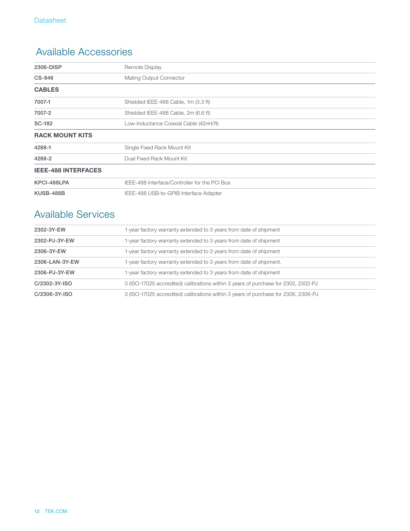### Available Accessories

| 2306-DISP                  | <b>Remote Display</b>                         |
|----------------------------|-----------------------------------------------|
| CS-846                     | Mating Output Connector                       |
| <b>CABLES</b>              |                                               |
| 7007-1                     | Shielded IEEE-488 Cable, 1m (3.3 ft)          |
| 7007-2                     | Shielded IEEE-488 Cable, 2m (6.6 ft)          |
| SC-182                     | Low-Inductance Coaxial Cable (42nH/ft)        |
| <b>RACK MOUNT KITS</b>     |                                               |
| 4288-1                     | Single Fixed Rack Mount Kit                   |
| 4288-2                     | Dual Fixed Rack Mount Kit                     |
| <b>IEEE-488 INTERFACES</b> |                                               |
| KPCI-488LPA                | IEEE-488 Interface/Controller for the PCI Bus |
| <b>KUSB-488B</b>           | IEEE-488 USB-to-GPIB Interface Adapter        |

### Available Services

| 2302-3Y-EW     | 1-year factory warranty extended to 3 years from date of shipment                  |  |
|----------------|------------------------------------------------------------------------------------|--|
| 2302-PJ-3Y-EW  | 1-year factory warranty extended to 3 years from date of shipment                  |  |
| 2306-3Y-EW     | 1-year factory warranty extended to 3 years from date of shipment                  |  |
| 2306-LAN-3Y-EW | 1-year factory warranty extended to 3 years from date of shipment.                 |  |
| 2306-PJ-3Y-EW  | 1-year factory warranty extended to 3 years from date of shipment                  |  |
| C/2302-3Y-ISO  | 3 (ISO-17025 accredited) calibrations within 3 years of purchase for 2302, 2302-PJ |  |
| C/2306-3Y-ISO  | 3 (ISO-17025 accredited) calibrations within 3 years of purchase for 2306, 2306-PJ |  |